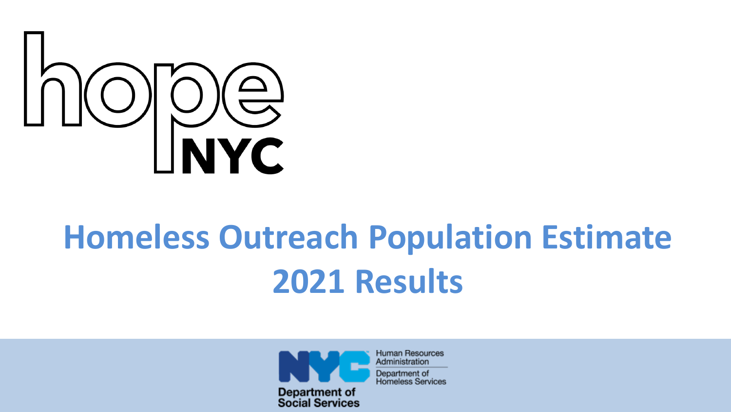

# **Homeless Outreach Population Estimate 2021 Results**



**Human Resources** Administration Department of **Homeless Services**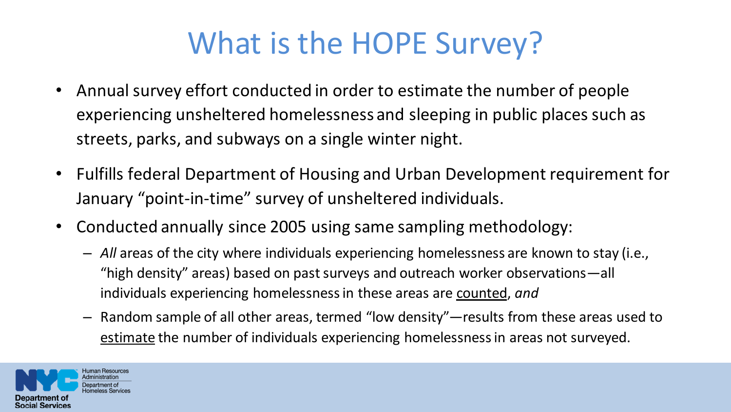### What is the HOPE Survey?

- Annual survey effort conducted in order to estimate the number of people experiencing unsheltered homelessness and sleeping in public places such as streets, parks, and subways on a single winter night.
- Fulfills federal Department of Housing and Urban Development requirement for January "point-in-time" survey of unsheltered individuals.
- Conducted annually since 2005 using same sampling methodology:
	- *All* areas of the city where individuals experiencing homelessness are known to stay (i.e., "high density" areas) based on past surveys and outreach worker observations—all individuals experiencing homelessness in these areas are counted, *and*
	- Random sample of all other areas, termed "low density"—results from these areas used to estimate the number of individuals experiencing homelessness in areas not surveyed.

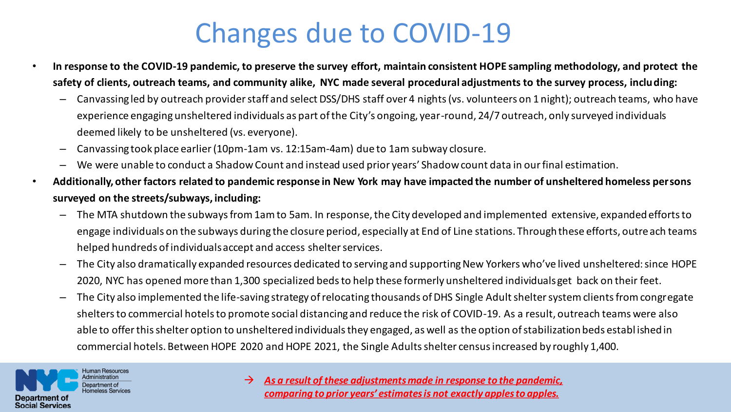### Changes due to COVID-19

- **In response to the COVID-19 pandemic, to preserve the survey effort, maintain consistent HOPE sampling methodology, and protect the safety of clients, outreach teams, and community alike, NYC made several procedural adjustments to the survey process, including:**
	- Canvassing led by outreach provider staff and select DSS/DHS staff over 4 nights (vs. volunteers on 1 night); outreach teams, who have experience engaging unsheltered individuals as part of the City's ongoing, year-round, 24/7 outreach, only surveyed individuals deemed likely to be unsheltered (vs. everyone).
	- Canvassing took place earlier (10pm-1am vs. 12:15am-4am) due to 1am subway closure.
	- We were unable to conduct a Shadow Count and instead used prior years' Shadow count data in our final estimation.
- **Additionally, other factors related to pandemic response in New York may have impacted the number of unsheltered homeless persons surveyed on the streets/subways, including:**
	- The MTA shutdown the subways from 1am to 5am. In response, the City developed and implemented extensive, expanded efforts to engage individuals on the subways during the closure period, especially at End of Line stations. Through these efforts, outreach teams helped hundreds of individuals accept and access shelter services.
	- The City also dramatically expanded resources dedicated to serving and supporting New Yorkers who've lived unsheltered: since HOPE 2020, NYC has opened more than 1,300 specialized beds to help these formerly unsheltered individuals get back on their feet.
	- The City also implemented the life-saving strategy of relocating thousands of DHS Single Adult shelter system clients from congregate shelters to commercial hotels to promote social distancing and reduce the risk of COVID-19. As a result, outreach teams were also able to offer this shelter option to unsheltered individuals they engaged, as well as the option of stabilization beds establ ished in commercial hotels. Between HOPE 2020 and HOPE 2021, the Single Adults shelter census increased by roughly 1,400.



 $\rightarrow$  As a result of these adjustments made in response to the pandemic, *comparing to prior years' estimates is not exactly apples to apples.*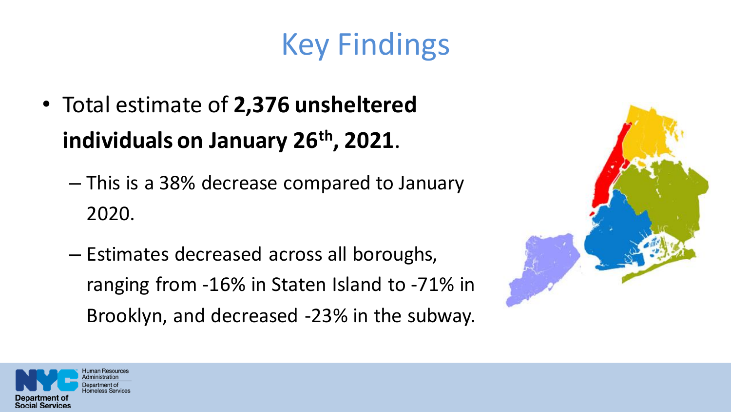## Key Findings

- Total estimate of **2,376 unsheltered individuals on January 26th, 2021**.
	- This is a 38% decrease compared to January 2020.
	- Estimates decreased across all boroughs, ranging from -16% in Staten Island to -71% in Brooklyn, and decreased -23% in the subway.



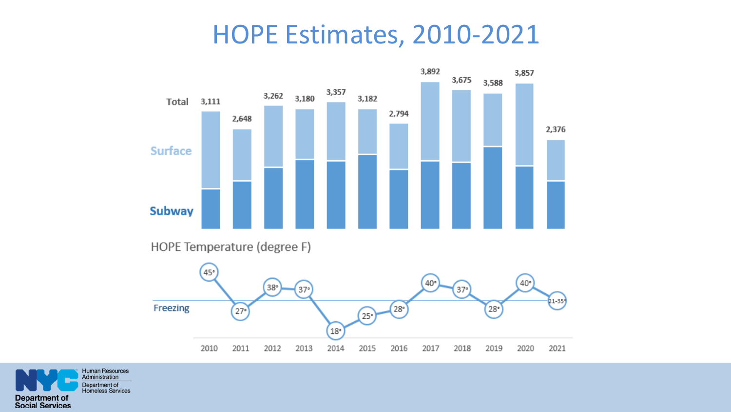#### HOPE Estimates, 2010-2021